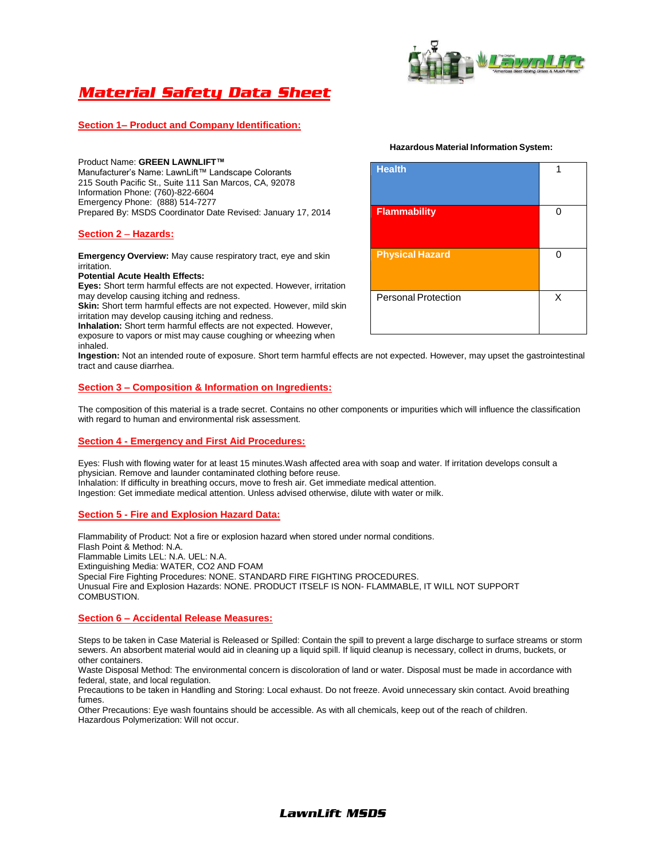

# *Material Safety Data Sheet*

## **Section 1– Product and Company Identification:**

Product Name: **GREEN LAWNLIFT™** Manufacturer's Name: LawnLift™ Landscape Colorants 215 South Pacific St., Suite 111 San Marcos, CA, 92078 Information Phone: (760)-822-6604 Emergency Phone: (888) 514-7277 Prepared By: MSDS Coordinator Date Revised: January 17, 2014

## **Section 2** – **Hazards:**

**Emergency Overview:** May cause respiratory tract, eye and skin irritation.

## **Potential Acute Health Effects:**

**Eyes:** Short term harmful effects are not expected. However, irritation may develop causing itching and redness.

**Skin:** Short term harmful effects are not expected. However, mild skin irritation may develop causing itching and redness.

**Inhalation:** Short term harmful effects are not expected. However, exposure to vapors or mist may cause coughing or wheezing when inhaled.

**Ingestion:** Not an intended route of exposure. Short term harmful effects are not expected. However, may upset the gastrointestinal tract and cause diarrhea.

## **Section 3 – Composition & Information on Ingredients:**

The composition of this material is a trade secret. Contains no other components or impurities which will influence the classification with regard to human and environmental risk assessment.

## **Section 4 - Emergency and First Aid Procedures:**

Eyes: Flush with flowing water for at least 15 minutes.Wash affected area with soap and water. If irritation develops consult a physician. Remove and launder contaminated clothing before reuse. Inhalation: If difficulty in breathing occurs, move to fresh air. Get immediate medical attention. Ingestion: Get immediate medical attention. Unless advised otherwise, dilute with water or milk.

## **Section 5 - Fire and Explosion Hazard Data:**

Flammability of Product: Not a fire or explosion hazard when stored under normal conditions. Flash Point & Method: N.A. Flammable Limits LEL: N.A. UEL: N.A. Extinguishing Media: WATER, CO2 AND FOAM Special Fire Fighting Procedures: NONE. STANDARD FIRE FIGHTING PROCEDURES. Unusual Fire and Explosion Hazards: NONE. PRODUCT ITSELF IS NON- FLAMMABLE, IT WILL NOT SUPPORT COMBUSTION.

## **Section 6 – Accidental Release Measures:**

Steps to be taken in Case Material is Released or Spilled: Contain the spill to prevent a large discharge to surface streams or storm sewers. An absorbent material would aid in cleaning up a liquid spill. If liquid cleanup is necessary, collect in drums, buckets, or other containers.

Waste Disposal Method: The environmental concern is discoloration of land or water. Disposal must be made in accordance with federal, state, and local regulation.

Precautions to be taken in Handling and Storing: Local exhaust. Do not freeze. Avoid unnecessary skin contact. Avoid breathing fumes.

Other Precautions: Eye wash fountains should be accessible. As with all chemicals, keep out of the reach of children. Hazardous Polymerization: Will not occur.

#### **Hazardous Material Information System:**

| <b>Health</b>              | 1 |
|----------------------------|---|
| <b>Flammability</b>        | ი |
| <b>Physical Hazard</b>     | ∩ |
| <b>Personal Protection</b> | X |

## *LawnLift MSDS*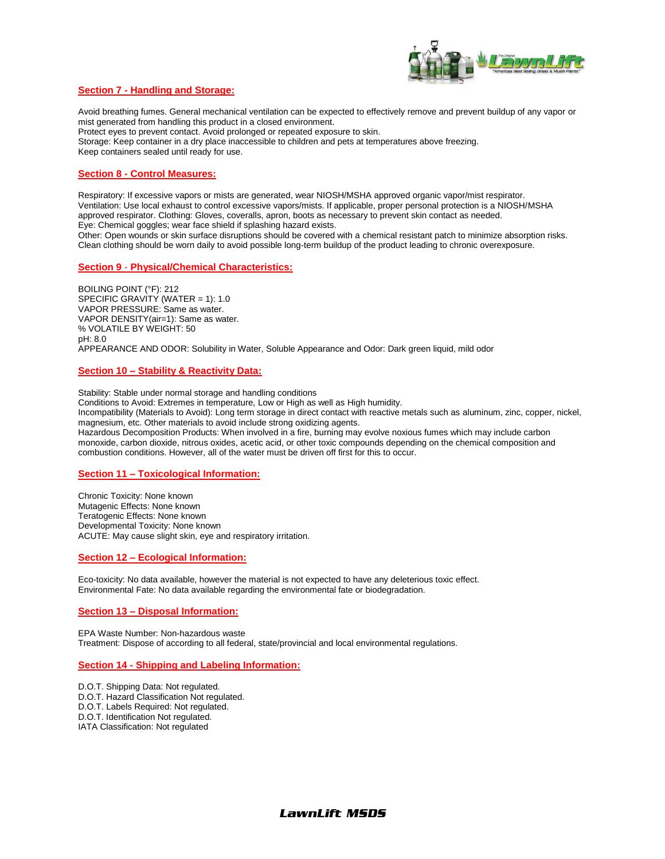

## **Section 7 - Handling and Storage:**

Avoid breathing fumes. General mechanical ventilation can be expected to effectively remove and prevent buildup of any vapor or mist generated from handling this product in a closed environment. Protect eyes to prevent contact. Avoid prolonged or repeated exposure to skin. Storage: Keep container in a dry place inaccessible to children and pets at temperatures above freezing. Keep containers sealed until ready for use.

## **Section 8 - Control Measures:**

Respiratory: If excessive vapors or mists are generated, wear NIOSH/MSHA approved organic vapor/mist respirator. Ventilation: Use local exhaust to control excessive vapors/mists. If applicable, proper personal protection is a NIOSH/MSHA approved respirator. Clothing: Gloves, coveralls, apron, boots as necessary to prevent skin contact as needed. Eye: Chemical goggles; wear face shield if splashing hazard exists. Other: Open wounds or skin surface disruptions should be covered with a chemical resistant patch to minimize absorption risks. Clean clothing should be worn daily to avoid possible long-term buildup of the product leading to chronic overexposure.

#### **Section 9** - **Physical/Chemical Characteristics:**

BOILING POINT (°F): 212 SPECIFIC GRAVITY (WATER = 1): 1.0 VAPOR PRESSURE: Same as water. VAPOR DENSITY(air=1): Same as water. % VOLATILE BY WEIGHT: 50 pH: 8.0 APPEARANCE AND ODOR: Solubility in Water, Soluble Appearance and Odor: Dark green liquid, mild odor

#### **Section 10 – Stability & Reactivity Data:**

Stability: Stable under normal storage and handling conditions

Conditions to Avoid: Extremes in temperature, Low or High as well as High humidity.

Incompatibility (Materials to Avoid): Long term storage in direct contact with reactive metals such as aluminum, zinc, copper, nickel, magnesium, etc. Other materials to avoid include strong oxidizing agents.

Hazardous Decomposition Products: When involved in a fire, burning may evolve noxious fumes which may include carbon monoxide, carbon dioxide, nitrous oxides, acetic acid, or other toxic compounds depending on the chemical composition and combustion conditions. However, all of the water must be driven off first for this to occur.

#### **Section 11 – Toxicological Information:**

Chronic Toxicity: None known Mutagenic Effects: None known Teratogenic Effects: None known Developmental Toxicity: None known ACUTE: May cause slight skin, eye and respiratory irritation.

## **Section 12 – Ecological Information:**

Eco-toxicity: No data available, however the material is not expected to have any deleterious toxic effect. Environmental Fate: No data available regarding the environmental fate or biodegradation.

## **Section 13 – Disposal Information:**

EPA Waste Number: Non-hazardous waste Treatment: Dispose of according to all federal, state/provincial and local environmental regulations.

#### **Section 14 - Shipping and Labeling Information:**

- D.O.T. Shipping Data: Not regulated.
- D.O.T. Hazard Classification Not regulated.
- D.O.T. Labels Required: Not regulated.
- D.O.T. Identification Not regulated.
- IATA Classification: Not regulated